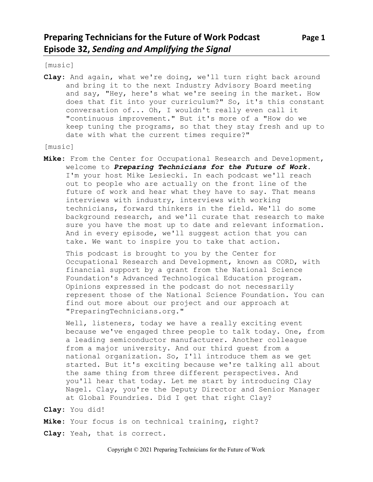[music]

**Clay:** And again, what we're doing, we'll turn right back around and bring it to the next Industry Advisory Board meeting and say, "Hey, here's what we're seeing in the market. How does that fit into your curriculum?" So, it's this constant conversation of... Oh, I wouldn't really even call it "continuous improvement." But it's more of a "How do we keep tuning the programs, so that they stay fresh and up to date with what the current times require?"

[music]

**Mike:** From the Center for Occupational Research and Development, welcome to *Preparing Technicians for the Future of Work.* I'm your host Mike Lesiecki. In each podcast we'll reach out to people who are actually on the front line of the future of work and hear what they have to say. That means interviews with industry, interviews with working technicians, forward thinkers in the field. We'll do some background research, and we'll curate that research to make sure you have the most up to date and relevant information. And in every episode, we'll suggest action that you can take. We want to inspire you to take that action.

This podcast is brought to you by the Center for Occupational Research and Development, known as CORD, with financial support by a grant from the National Science Foundation's Advanced Technological Education program. Opinions expressed in the podcast do not necessarily represent those of the National Science Foundation. You can find out more about our project and our approach at "PreparingTechnicians.org."

Well, listeners, today we have a really exciting event because we've engaged three people to talk today. One, from a leading semiconductor manufacturer. Another colleague from a major university. And our third guest from a national organization. So, I'll introduce them as we get started. But it's exciting because we're talking all about the same thing from three different perspectives. And you'll hear that today. Let me start by introducing Clay Nagel. Clay, you're the Deputy Director and Senior Manager at Global Foundries. Did I get that right Clay?

**Clay:** You did!

**Mike:** Your focus is on technical training, right?

**Clay:** Yeah, that is correct.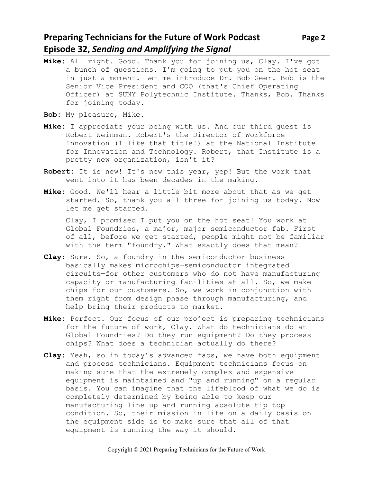# **Preparing Technicians for the Future of Work Podcast Page 2 Episode 32,** *Sending and Amplifying the Signal*

- **Mike:** All right. Good. Thank you for joining us, Clay. I've got a bunch of questions. I'm going to put you on the hot seat in just a moment. Let me introduce Dr. Bob Geer. Bob is the Senior Vice President and COO (that's Chief Operating Officer) at SUNY Polytechnic Institute. Thanks, Bob. Thanks for joining today.
- **Bob:** My pleasure, Mike.
- **Mike:** I appreciate your being with us. And our third guest is Robert Weinman. Robert's the Director of Workforce Innovation (I like that title!) at the National Institute for Innovation and Technology. Robert, that Institute is a pretty new organization, isn't it?
- **Robert:** It is new! It's new this year, yep! But the work that went into it has been decades in the making.
- **Mike:** Good. We'll hear a little bit more about that as we get started. So, thank you all three for joining us today. Now let me get started.

Clay, I promised I put you on the hot seat! You work at Global Foundries, a major, major semiconductor fab. First of all, before we get started, people might not be familiar with the term "foundry." What exactly does that mean?

- **Clay:** Sure. So, a foundry in the semiconductor business basically makes microchips—semiconductor integrated circuits—for other customers who do not have manufacturing capacity or manufacturing facilities at all. So, we make chips for our customers. So, we work in conjunction with them right from design phase through manufacturing, and help bring their products to market.
- **Mike:** Perfect. Our focus of our project is preparing technicians for the future of work, Clay. What do technicians do at Global Foundries? Do they run equipment? Do they process chips? What does a technician actually do there?
- **Clay:** Yeah, so in today's advanced fabs, we have both equipment and process technicians. Equipment technicians focus on making sure that the extremely complex and expensive equipment is maintained and "up and running" on a regular basis. You can imagine that the lifeblood of what we do is completely determined by being able to keep our manufacturing line up and running—absolute tip top condition. So, their mission in life on a daily basis on the equipment side is to make sure that all of that equipment is running the way it should.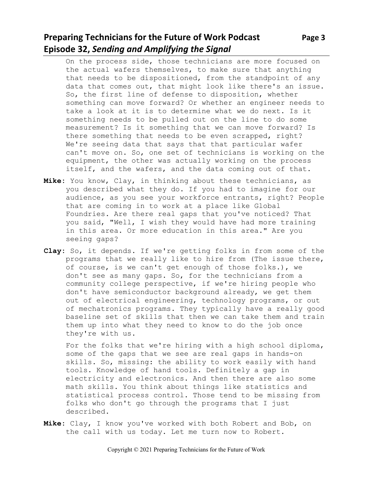# **Preparing Technicians for the Future of Work Podcast** Page 3 **Episode 32,** *Sending and Amplifying the Signal*

On the process side, those technicians are more focused on the actual wafers themselves, to make sure that anything that needs to be dispositioned, from the standpoint of any data that comes out, that might look like there's an issue. So, the first line of defense to disposition, whether something can move forward? Or whether an engineer needs to take a look at it is to determine what we do next. Is it something needs to be pulled out on the line to do some measurement? Is it something that we can move forward? Is there something that needs to be even scrapped, right? We're seeing data that says that that particular wafer can't move on. So, one set of technicians is working on the equipment, the other was actually working on the process itself, and the wafers, and the data coming out of that.

- **Mike:** You know, Clay, in thinking about these technicians, as you described what they do. If you had to imagine for our audience, as you see your workforce entrants, right? People that are coming in to work at a place like Global Foundries. Are there real gaps that you've noticed? That you said, "Well, I wish they would have had more training in this area. Or more education in this area." Are you seeing gaps?
- **Clay:** So, it depends. If we're getting folks in from some of the programs that we really like to hire from (The issue there, of course, is we can't get enough of those folks.), we don't see as many gaps. So, for the technicians from a community college perspective, if we're hiring people who don't have semiconductor background already, we get them out of electrical engineering, technology programs, or out of mechatronics programs. They typically have a really good baseline set of skills that then we can take them and train them up into what they need to know to do the job once they're with us.

For the folks that we're hiring with a high school diploma, some of the gaps that we see are real gaps in hands-on skills. So, missing: the ability to work easily with hand tools. Knowledge of hand tools. Definitely a gap in electricity and electronics. And then there are also some math skills. You think about things like statistics and statistical process control. Those tend to be missing from folks who don't go through the programs that I just described.

**Mike:** Clay, I know you've worked with both Robert and Bob, on the call with us today. Let me turn now to Robert.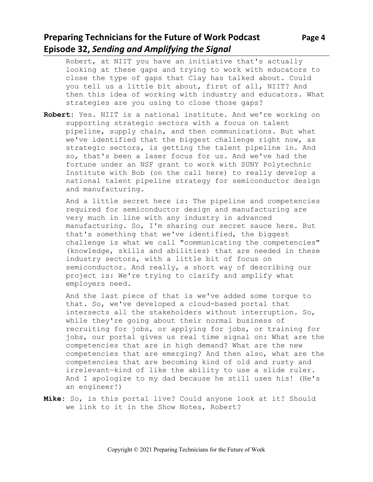# **Preparing Technicians for the Future of Work Podcast Page 4 Episode 32,** *Sending and Amplifying the Signal*

Robert, at NIIT you have an initiative that's actually looking at these gaps and trying to work with educators to close the type of gaps that Clay has talked about. Could you tell us a little bit about, first of all, NIIT? And then this idea of working with industry and educators. What strategies are you using to close those gaps?

**Robert:** Yes. NIIT is a national institute. And we're working on supporting strategic sectors with a focus on talent pipeline, supply chain, and then communications. But what we've identified that the biggest challenge right now, as strategic sectors, is getting the talent pipeline in. And so, that's been a laser focus for us. And we've had the fortune under an NSF grant to work with SUNY Polytechnic Institute with Bob (on the call here) to really develop a national talent pipeline strategy for semiconductor design and manufacturing.

And a little secret here is: The pipeline and competencies required for semiconductor design and manufacturing are very much in line with any industry in advanced manufacturing. So, I'm sharing our secret sauce here. But that's something that we've identified, the biggest challenge is what we call "communicating the competencies" (knowledge, skills and abilities) that are needed in these industry sectors, with a little bit of focus on semiconductor. And really, a short way of describing our project is: We're trying to clarify and amplify what employers need.

And the last piece of that is we've added some torque to that. So, we've developed a cloud-based portal that intersects all the stakeholders without interruption. So, while they're going about their normal business of recruiting for jobs, or applying for jobs, or training for jobs, our portal gives us real time signal on: What are the competencies that are in high demand? What are the new competencies that are emerging? And then also, what are the competencies that are becoming kind of old and rusty and irrelevant—kind of like the ability to use a slide ruler. And I apologize to my dad because he still uses his! (He's an engineer!)

**Mike:** So, is this portal live? Could anyone look at it? Should we link to it in the Show Notes, Robert?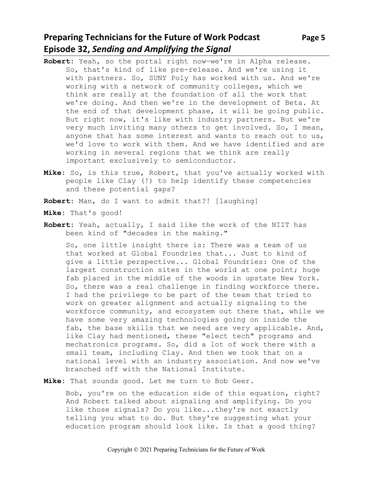# **Preparing Technicians for the Future of Work Podcast** Page 5 **Episode 32,** *Sending and Amplifying the Signal*

- **Robert:** Yeah, so the portal right now—we're in Alpha release. So, that's kind of like pre-release. And we're using it with partners. So, SUNY Poly has worked with us. And we're working with a network of community colleges, which we think are really at the foundation of all the work that we're doing. And then we're in the development of Beta. At the end of that development phase, it will be going public. But right now, it's like with industry partners. But we're very much inviting many others to get involved. So, I mean, anyone that has some interest and wants to reach out to us, we'd love to work with them. And we have identified and are working in several regions that we think are really important exclusively to semiconductor.
- **Mike:** So, is this true, Robert, that you've actually worked with people like Clay (!) to help identify these competencies and these potential gaps?

**Robert:** Man, do I want to admit that?! [laughing]

- **Mike:** That's good!
- **Robert:** Yeah, actually, I said like the work of the NIIT has been kind of "decades in the making."

So, one little insight there is: There was a team of us that worked at Global Foundries that... Just to kind of give a little perspective... Global Foundries: One of the largest construction sites in the world at one point; huge fab placed in the middle of the woods in upstate New York. So, there was a real challenge in finding workforce there. I had the privilege to be part of the team that tried to work on greater alignment and actually signaling to the workforce community, and ecosystem out there that, while we have some very amazing technologies going on inside the fab, the base skills that we need are very applicable. And, like Clay had mentioned, these "elect tech" programs and mechatronics programs. So, did a lot of work there with a small team, including Clay. And then we took that on a national level with an industry association. And now we've branched off with the National Institute.

**Mike:** That sounds good. Let me turn to Bob Geer.

Bob, you're on the education side of this equation, right? And Robert talked about signaling and amplifying. Do you like those signals? Do you like...they're not exactly telling you what to do. But they're suggesting what your education program should look like. Is that a good thing?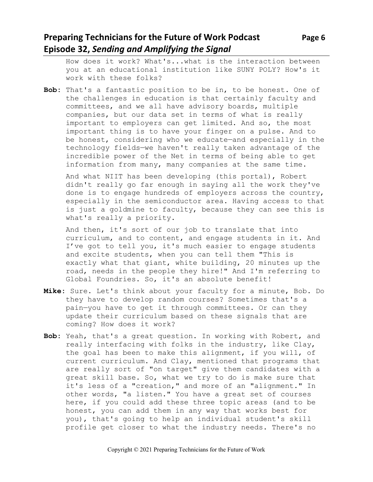# **Preparing Technicians for the Future of Work Podcast** Page 6 **Episode 32,** *Sending and Amplifying the Signal*

How does it work? What's...what is the interaction between you at an educational institution like SUNY POLY? How's it work with these folks?

**Bob:** That's a fantastic position to be in, to be honest. One of the challenges in education is that certainly faculty and committees, and we all have advisory boards, multiple companies, but our data set in terms of what is really important to employers can get limited. And so, the most important thing is to have your finger on a pulse. And to be honest, considering who we educate—and especially in the technology fields—we haven't really taken advantage of the incredible power of the Net in terms of being able to get information from many, many companies at the same time.

And what NIIT has been developing (this portal), Robert didn't really go far enough in saying all the work they've done is to engage hundreds of employers across the country, especially in the semiconductor area. Having access to that is just a goldmine to faculty, because they can see this is what's really a priority.

And then, it's sort of our job to translate that into curriculum, and to content, and engage students in it. And I've got to tell you, it's much easier to engage students and excite students, when you can tell them "This is exactly what that giant, white building, 20 minutes up the road, needs in the people they hire!" And I'm referring to Global Foundries. So, it's an absolute benefit!

- **Mike:** Sure. Let's think about your faculty for a minute, Bob. Do they have to develop random courses? Sometimes that's a pain—you have to get it through committees. Or can they update their curriculum based on these signals that are coming? How does it work?
- **Bob:** Yeah, that's a great question. In working with Robert, and really interfacing with folks in the industry, like Clay, the goal has been to make this alignment, if you will, of current curriculum. And Clay, mentioned that programs that are really sort of "on target" give them candidates with a great skill base. So, what we try to do is make sure that it's less of a "creation," and more of an "alignment." In other words, "a listen." You have a great set of courses here, if you could add these three topic areas (and to be honest, you can add them in any way that works best for you), that's going to help an individual student's skill profile get closer to what the industry needs. There's no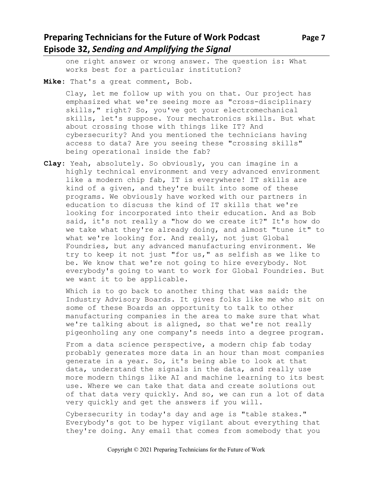# **Preparing Technicians for the Future of Work Podcast Page 7 Episode 32,** *Sending and Amplifying the Signal*

one right answer or wrong answer. The question is: What works best for a particular institution?

**Mike:** That's a great comment, Bob.

Clay, let me follow up with you on that. Our project has emphasized what we're seeing more as "cross-disciplinary skills," right? So, you've got your electromechanical skills, let's suppose. Your mechatronics skills. But what about crossing those with things like IT? And cybersecurity? And you mentioned the technicians having access to data? Are you seeing these "crossing skills" being operational inside the fab?

**Clay:** Yeah, absolutely. So obviously, you can imagine in a highly technical environment and very advanced environment like a modern chip fab, IT is everywhere! IT skills are kind of a given, and they're built into some of these programs. We obviously have worked with our partners in education to discuss the kind of IT skills that we're looking for incorporated into their education. And as Bob said, it's not really a "how do we create it?" It's how do we take what they're already doing, and almost "tune it" to what we're looking for. And really, not just Global Foundries, but any advanced manufacturing environment. We try to keep it not just "for us," as selfish as we like to be. We know that we're not going to hire everybody. Not everybody's going to want to work for Global Foundries. But we want it to be applicable.

Which is to go back to another thing that was said: the Industry Advisory Boards. It gives folks like me who sit on some of these Boards an opportunity to talk to other manufacturing companies in the area to make sure that what we're talking about is aligned, so that we're not really pigeonholing any one company's needs into a degree program.

From a data science perspective, a modern chip fab today probably generates more data in an hour than most companies generate in a year. So, it's being able to look at that data, understand the signals in the data, and really use more modern things like AI and machine learning to its best use. Where we can take that data and create solutions out of that data very quickly. And so, we can run a lot of data very quickly and get the answers if you will.

Cybersecurity in today's day and age is "table stakes." Everybody's got to be hyper vigilant about everything that they're doing. Any email that comes from somebody that you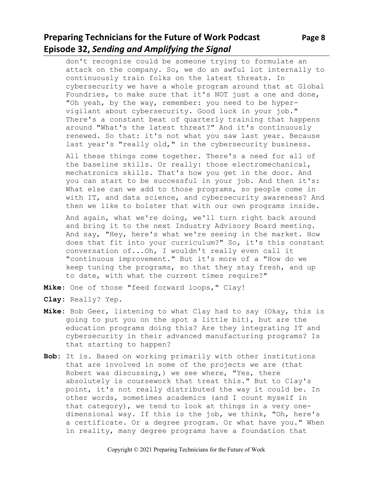# **Preparing Technicians for the Future of Work Podcast** Page 8 **Episode 32,** *Sending and Amplifying the Signal*

don't recognize could be someone trying to formulate an attack on the company. So, we do an awful lot internally to continuously train folks on the latest threats. In cybersecurity we have a whole program around that at Global Foundries, to make sure that it's NOT just a one and done, "Oh yeah, by the way, remember: you need to be hypervigilant about cybersecurity. Good luck in your job." There's a constant beat of quarterly training that happens around "What's the latest threat?" And it's continuously renewed. So that: it's not what you saw last year. Because last year's "really old," in the cybersecurity business.

All these things come together. There's a need for all of the baseline skills. Or really: those electromechanical, mechatronics skills. That's how you get in the door. And you can start to be successful in your job. And then it's: What else can we add to those programs, so people come in with IT, and data science, and cybersecurity awareness? And then we like to bolster that with our own programs inside.

And again, what we're doing, we'll turn right back around and bring it to the next Industry Advisory Board meeting. And say, "Hey, here's what we're seeing in the market. How does that fit into your curriculum?" So, it's this constant conversation of...Oh, I wouldn't really even call it "continuous improvement." But it's more of a "How do we keep tuning the programs, so that they stay fresh, and up to date, with what the current times require?"

**Mike:** One of those "feed forward loops," Clay!

- **Clay:** Really? Yep.
- **Mike:** Bob Geer, listening to what Clay had to say (Okay, this is going to put you on the spot a little bit), but are the education programs doing this? Are they integrating IT and cybersecurity in their advanced manufacturing programs? Is that starting to happen?
- **Bob:** It is. Based on working primarily with other institutions that are involved in some of the projects we are (that Robert was discussing,) we see where, "Yes, there absolutely is coursework that treat this." But to Clay's point, it's not really distributed the way it could be. In other words, sometimes academics (and I count myself in that category), we tend to look at things in a very onedimensional way. If this is the job, we think, "Oh, here's a certificate. Or a degree program. Or what have you." When in reality, many degree programs have a foundation that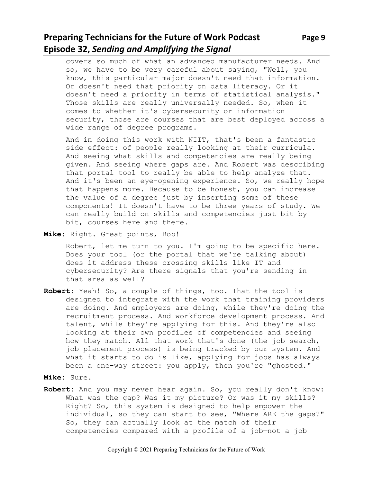# **Preparing Technicians for the Future of Work Podcast Page 9 Episode 32,** *Sending and Amplifying the Signal*

covers so much of what an advanced manufacturer needs. And so, we have to be very careful about saying, "Well, you know, this particular major doesn't need that information. Or doesn't need that priority on data literacy. Or it doesn't need a priority in terms of statistical analysis." Those skills are really universally needed. So, when it comes to whether it's cybersecurity or information security, those are courses that are best deployed across a wide range of degree programs.

And in doing this work with NIIT, that's been a fantastic side effect: of people really looking at their curricula. And seeing what skills and competencies are really being given. And seeing where gaps are. And Robert was describing that portal tool to really be able to help analyze that. And it's been an eye-opening experience. So, we really hope that happens more. Because to be honest, you can increase the value of a degree just by inserting some of these components! It doesn't have to be three years of study. We can really build on skills and competencies just bit by bit, courses here and there.

**Mike:** Right. Great points, Bob!

Robert, let me turn to you. I'm going to be specific here. Does your tool (or the portal that we're talking about) does it address these crossing skills like IT and cybersecurity? Are there signals that you're sending in that area as well?

- **Robert:** Yeah! So, a couple of things, too. That the tool is designed to integrate with the work that training providers are doing. And employers are doing, while they're doing the recruitment process. And workforce development process. And talent, while they're applying for this. And they're also looking at their own profiles of competencies and seeing how they match. All that work that's done (the job search, job placement process) is being tracked by our system. And what it starts to do is like, applying for jobs has always been a one-way street: you apply, then you're "ghosted."
- **Mike:** Sure.
- **Robert:** And you may never hear again. So, you really don't know: What was the gap? Was it my picture? Or was it my skills? Right? So, this system is designed to help empower the individual, so they can start to see, "Where ARE the gaps?" So, they can actually look at the match of their competencies compared with a profile of a job—not a job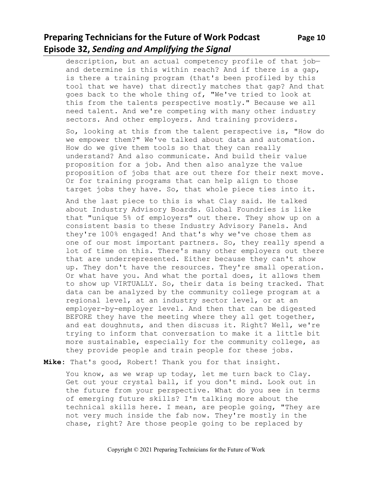# **Preparing Technicians for the Future of Work Podcast Page 10 Episode 32,** *Sending and Amplifying the Signal*

description, but an actual competency profile of that job and determine is this within reach? And if there is a gap, is there a training program (that's been profiled by this tool that we have) that directly matches that gap? And that goes back to the whole thing of, "We've tried to look at this from the talents perspective mostly." Because we all need talent. And we're competing with many other industry sectors. And other employers. And training providers.

So, looking at this from the talent perspective is, "How do we empower them?" We've talked about data and automation. How do we give them tools so that they can really understand? And also communicate. And build their value proposition for a job. And then also analyze the value proposition of jobs that are out there for their next move. Or for training programs that can help align to those target jobs they have. So, that whole piece ties into it.

And the last piece to this is what Clay said. He talked about Industry Advisory Boards. Global Foundries is like that "unique 5% of employers" out there. They show up on a consistent basis to these Industry Advisory Panels. And they're 100% engaged! And that's why we've chose them as one of our most important partners. So, they really spend a lot of time on this. There's many other employers out there that are underrepresented. Either because they can't show up. They don't have the resources. They're small operation. Or what have you. And what the portal does, it allows them to show up VIRTUALLY. So, their data is being tracked. That data can be analyzed by the community college program at a regional level, at an industry sector level, or at an employer-by-employer level. And then that can be digested BEFORE they have the meeting where they all get together, and eat doughnuts, and then discuss it. Right? Well, we're trying to inform that conversation to make it a little bit more sustainable, especially for the community college, as they provide people and train people for these jobs.

**Mike:** That's good, Robert! Thank you for that insight.

You know, as we wrap up today, let me turn back to Clay. Get out your crystal ball, if you don't mind. Look out in the future from your perspective. What do you see in terms of emerging future skills? I'm talking more about the technical skills here. I mean, are people going, "They are not very much inside the fab now. They're mostly in the chase, right? Are those people going to be replaced by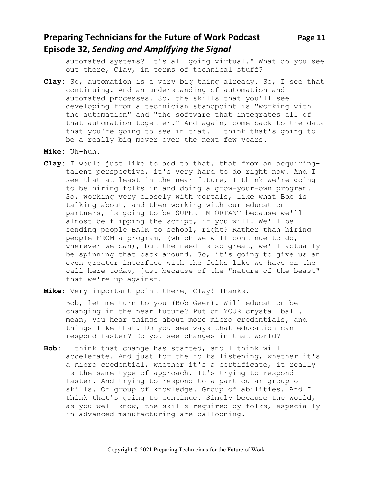# **Preparing Technicians for the Future of Work Podcast Page 11 Episode 32,** *Sending and Amplifying the Signal*

automated systems? It's all going virtual." What do you see out there, Clay, in terms of technical stuff?

- **Clay:** So, automation is a very big thing already. So, I see that continuing. And an understanding of automation and automated processes. So, the skills that you'll see developing from a technician standpoint is "working with the automation" and "the software that integrates all of that automation together." And again, come back to the data that you're going to see in that. I think that's going to be a really big mover over the next few years.
- **Mike:** Uh-huh.
- **Clay:** I would just like to add to that, that from an acquiringtalent perspective, it's very hard to do right now. And I see that at least in the near future, I think we're going to be hiring folks in and doing a grow-your-own program. So, working very closely with portals, like what Bob is talking about, and then working with our education partners, is going to be SUPER IMPORTANT because we'll almost be flipping the script, if you will. We'll be sending people BACK to school, right? Rather than hiring people FROM a program, (which we will continue to do, wherever we can), but the need is so great, we'll actually be spinning that back around. So, it's going to give us an even greater interface with the folks like we have on the call here today, just because of the "nature of the beast" that we're up against.
- **Mike:** Very important point there, Clay! Thanks.

Bob, let me turn to you (Bob Geer). Will education be changing in the near future? Put on YOUR crystal ball. I mean, you hear things about more micro credentials, and things like that. Do you see ways that education can respond faster? Do you see changes in that world?

**Bob:** I think that change has started, and I think will accelerate. And just for the folks listening, whether it's a micro credential, whether it's a certificate, it really is the same type of approach. It's trying to respond faster. And trying to respond to a particular group of skills. Or group of knowledge. Group of abilities. And I think that's going to continue. Simply because the world, as you well know, the skills required by folks, especially in advanced manufacturing are ballooning.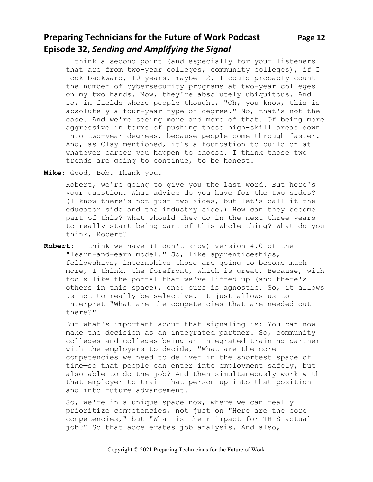# **Preparing Technicians for the Future of Work Podcast Page 12 Episode 32,** *Sending and Amplifying the Signal*

I think a second point (and especially for your listeners that are from two-year colleges, community colleges), if I look backward, 10 years, maybe 12, I could probably count the number of cybersecurity programs at two-year colleges on my two hands. Now, they're absolutely ubiquitous. And so, in fields where people thought, "Oh, you know, this is absolutely a four-year type of degree." No, that's not the case. And we're seeing more and more of that. Of being more aggressive in terms of pushing these high-skill areas down into two-year degrees, because people come through faster. And, as Clay mentioned, it's a foundation to build on at whatever career you happen to choose. I think those two trends are going to continue, to be honest.

**Mike:** Good, Bob. Thank you.

Robert, we're going to give you the last word. But here's your question. What advice do you have for the two sides? (I know there's not just two sides, but let's call it the educator side and the industry side.) How can they become part of this? What should they do in the next three years to really start being part of this whole thing? What do you think, Robert?

**Robert:** I think we have (I don't know) version 4.0 of the "learn-and-earn model." So, like apprenticeships, fellowships, internships—those are going to become much more, I think, the forefront, which is great. Because, with tools like the portal that we've lifted up (and there's others in this space), one: ours is agnostic. So, it allows us not to really be selective. It just allows us to interpret "What are the competencies that are needed out there?"

But what's important about that signaling is: You can now make the decision as an integrated partner. So, community colleges and colleges being an integrated training partner with the employers to decide, "What are the core competencies we need to deliver—in the shortest space of time—so that people can enter into employment safely, but also able to do the job? And then simultaneously work with that employer to train that person up into that position and into future advancement.

So, we're in a unique space now, where we can really prioritize competencies, not just on "Here are the core competencies," but "What is their impact for THIS actual job?" So that accelerates job analysis. And also,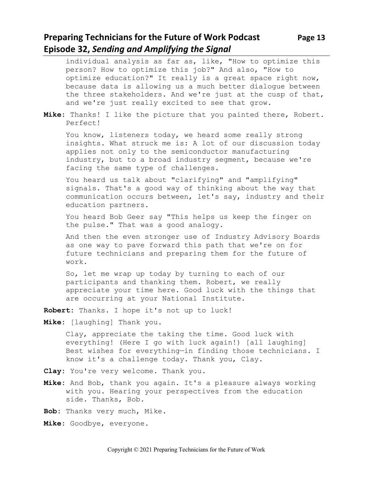### **Preparing Technicians for the Future of Work Podcast Page 13 Episode 32,** *Sending and Amplifying the Signal*

individual analysis as far as, like, "How to optimize this person? How to optimize this job?" And also, "How to optimize education?" It really is a great space right now, because data is allowing us a much better dialogue between the three stakeholders. And we're just at the cusp of that, and we're just really excited to see that grow.

**Mike:** Thanks! I like the picture that you painted there, Robert. Perfect!

You know, listeners today, we heard some really strong insights. What struck me is: A lot of our discussion today applies not only to the semiconductor manufacturing industry, but to a broad industry segment, because we're facing the same type of challenges.

You heard us talk about "clarifying" and "amplifying" signals. That's a good way of thinking about the way that communication occurs between, let's say, industry and their education partners.

You heard Bob Geer say "This helps us keep the finger on the pulse." That was a good analogy.

And then the even stronger use of Industry Advisory Boards as one way to pave forward this path that we're on for future technicians and preparing them for the future of work.

So, let me wrap up today by turning to each of our participants and thanking them. Robert, we really appreciate your time here. Good luck with the things that are occurring at your National Institute.

**Robert:** Thanks. I hope it's not up to luck!

**Mike:** [laughing] Thank you.

Clay, appreciate the taking the time. Good luck with everything! (Here I go with luck again!) [all laughing] Best wishes for everything—in finding those technicians. I know it's a challenge today. Thank you, Clay.

- **Clay:** You're very welcome. Thank you.
- **Mike:** And Bob, thank you again. It's a pleasure always working with you. Hearing your perspectives from the education side. Thanks, Bob.
- **Bob:** Thanks very much, Mike.
- **Mike:** Goodbye, everyone.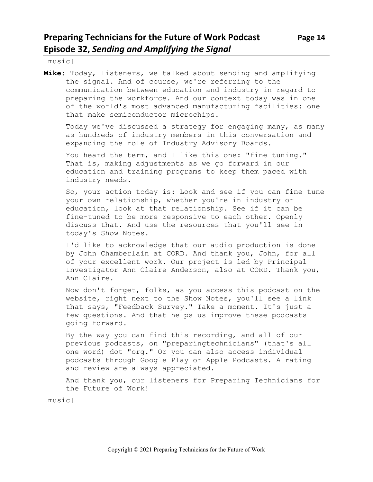[music]

**Mike:** Today, listeners, we talked about sending and amplifying the signal. And of course, we're referring to the communication between education and industry in regard to preparing the workforce. And our context today was in one of the world's most advanced manufacturing facilities: one that make semiconductor microchips.

Today we've discussed a strategy for engaging many, as many as hundreds of industry members in this conversation and expanding the role of Industry Advisory Boards.

You heard the term, and I like this one: "fine tuning." That is, making adjustments as we go forward in our education and training programs to keep them paced with industry needs.

So, your action today is: Look and see if you can fine tune your own relationship, whether you're in industry or education, look at that relationship. See if it can be fine-tuned to be more responsive to each other. Openly discuss that. And use the resources that you'll see in today's Show Notes.

I'd like to acknowledge that our audio production is done by John Chamberlain at CORD. And thank you, John, for all of your excellent work. Our project is led by Principal Investigator Ann Claire Anderson, also at CORD. Thank you, Ann Claire.

Now don't forget, folks, as you access this podcast on the website, right next to the Show Notes, you'll see a link that says, "Feedback Survey." Take a moment. It's just a few questions. And that helps us improve these podcasts going forward.

By the way you can find this recording, and all of our previous podcasts, on "preparingtechnicians" (that's all one word) dot "org." Or you can also access individual podcasts through Google Play or Apple Podcasts. A rating and review are always appreciated.

And thank you, our listeners for Preparing Technicians for the Future of Work!

[music]